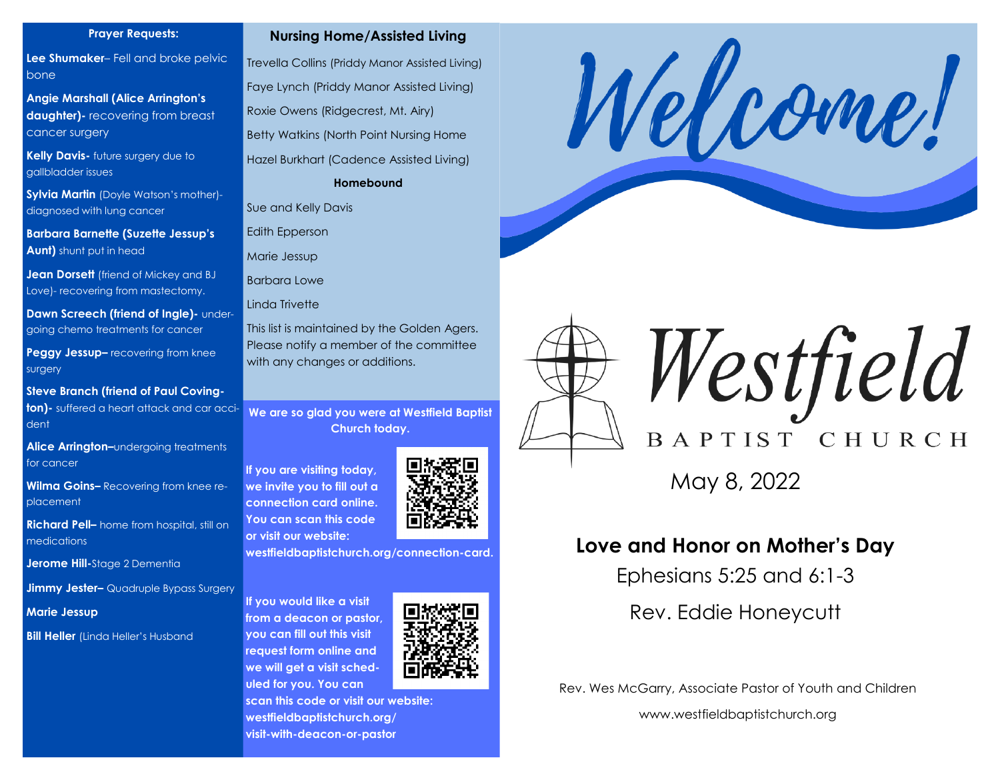#### **Prayer Requests:**

**Lee Shumaker**– Fell and broke pelvic bone

**Angie Marshall (Alice Arrington's daughter)-** recovering from breast cancer surgery

**Kelly Davis-** future surgery due to gallbladder issues

**Sylvia Martin** (Doyle Watson's mother) diagnosed with lung cancer

**Barbara Barnette (Suzette Jessup's Aunt)** shunt put in head

**Jean Dorsett** (friend of Mickey and BJ Love)- recovering from mastectomy.

**Dawn Screech (friend of Ingle)- under**going chemo treatments for cancer

**Peggy Jessup–** recovering from knee surgery

**Steve Branch (friend of Paul Coving-**

**ton)-** suffered a heart attack and car accident

**Alice Arrington–**undergoing treatments for cancer

**Wilma Goins–** Recovering from knee replacement

**Richard Pell–** home from hospital, still on medications

**Jerome Hill-**Stage 2 Dementia

**Jimmy Jester–** Quadruple Bypass Surgery

**Marie Jessup**

**Bill Heller** *(Linda Heller's Husband* 

#### **Nursing Home/Assisted Living**

Trevella Collins (Priddy Manor Assisted Living) Faye Lynch (Priddy Manor Assisted Living) Roxie Owens (Ridgecrest, Mt. Airy) Betty Watkins (North Point Nursing Home Hazel Burkhart (Cadence Assisted Living) **Homebound**

Sue and Kelly Davis

Edith Epperson

Marie Jessup

Barbara Lowe

Linda Trivette

This list is maintained by the Golden Agers. Please notify a member of the committee with any changes or additions.

**We are so glad you were at Westfield Baptist Church today.** 

**If you are visiting today, we invite you to fill out a connection card online. You can scan this code or visit our website:**



**westfieldbaptistchurch.org/connection-card.** 

**If you would like a visit from a deacon or pastor, you can fill out this visit request form online and we will get a visit scheduled for you. You can** 



**scan this code or visit our website: westfieldbaptistchurch.org/ visit-with-deacon-or-pastor**







May 8, 2022

### **Love and Honor on Mother's Day**

Ephesians 5:25 and 6:1-3

Rev. Eddie Honeycutt

Rev. Wes McGarry, Associate Pastor of Youth and Children

www.westfieldbaptistchurch.org